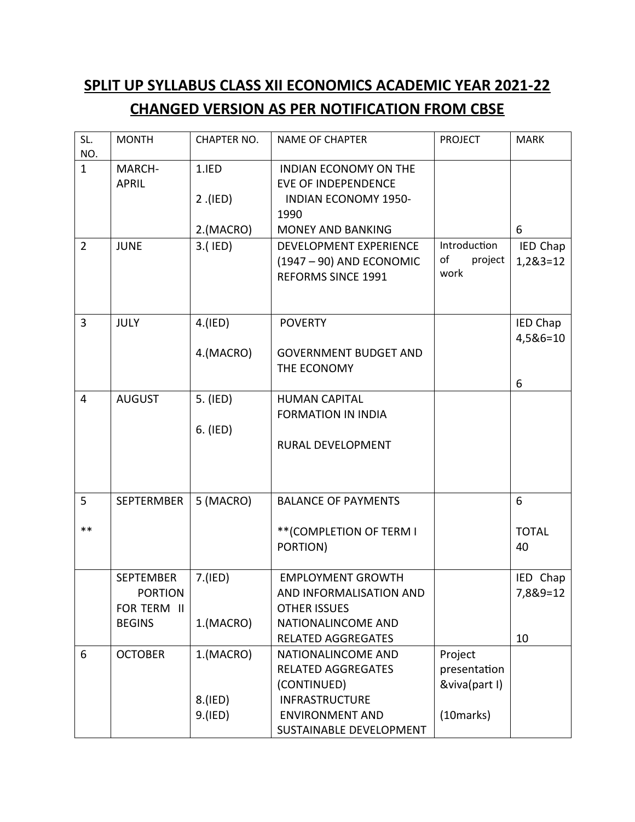## **SPLIT UP SYLLABUS CLASS XII ECONOMICS ACADEMIC YEAR 2021-22 CHANGED VERSION AS PER NOTIFICATION FROM CBSE**

| SL.<br>NO.     | <b>MONTH</b>                                                       | <b>CHAPTER NO.</b>              | <b>NAME OF CHAPTER</b>                                                                                                                              | <b>PROJECT</b>                                        | <b>MARK</b>                |
|----------------|--------------------------------------------------------------------|---------------------------------|-----------------------------------------------------------------------------------------------------------------------------------------------------|-------------------------------------------------------|----------------------------|
| $\mathbf{1}$   | MARCH-<br><b>APRIL</b>                                             | 1.IED<br>$2$ . (IED)            | <b>INDIAN ECONOMY ON THE</b><br><b>EVE OF INDEPENDENCE</b><br><b>INDIAN ECONOMY 1950-</b><br>1990                                                   |                                                       |                            |
|                |                                                                    | 2.(MACRO)                       | <b>MONEY AND BANKING</b>                                                                                                                            |                                                       | 6                          |
| $\overline{2}$ | <b>JUNE</b>                                                        | 3.(IED)                         | DEVELOPMENT EXPERIENCE<br>(1947 - 90) AND ECONOMIC<br><b>REFORMS SINCE 1991</b>                                                                     | Introduction<br>of<br>project<br>work                 | IED Chap<br>1,2&3=12       |
| 3              | <b>JULY</b>                                                        | 4.(IED)                         | <b>POVERTY</b>                                                                                                                                      |                                                       | IED Chap                   |
|                |                                                                    | 4.(MACRO)                       | <b>GOVERNMENT BUDGET AND</b><br>THE ECONOMY                                                                                                         |                                                       | 4,5&6=10                   |
| $\overline{4}$ | <b>AUGUST</b>                                                      | 5. (IED)<br>6. (IED)            | <b>HUMAN CAPITAL</b><br><b>FORMATION IN INDIA</b><br>RURAL DEVELOPMENT                                                                              |                                                       | 6                          |
| 5              | <b>SEPTERMBER</b>                                                  | 5 (MACRO)                       | <b>BALANCE OF PAYMENTS</b>                                                                                                                          |                                                       | 6                          |
| $***$          |                                                                    |                                 | ** (COMPLETION OF TERM I<br>PORTION)                                                                                                                |                                                       | <b>TOTAL</b><br>40         |
|                | <b>SEPTEMBER</b><br><b>PORTION</b><br>FOR TERM II<br><b>BEGINS</b> | 7.(IED)<br>1.(MACRO)            | <b>EMPLOYMENT GROWTH</b><br>AND INFORMALISATION AND<br><b>OTHER ISSUES</b><br>NATIONALINCOME AND<br><b>RELATED AGGREGATES</b>                       |                                                       | IED Chap<br>7,8&9=12<br>10 |
| 6              | <b>OCTOBER</b>                                                     | 1.(MACRO)<br>8.(IED)<br>9.(IED) | <b>NATIONALINCOME AND</b><br><b>RELATED AGGREGATES</b><br>(CONTINUED)<br><b>INFRASTRUCTURE</b><br><b>ENVIRONMENT AND</b><br>SUSTAINABLE DEVELOPMENT | Project<br>presentation<br>&viva(part I)<br>(10marks) |                            |